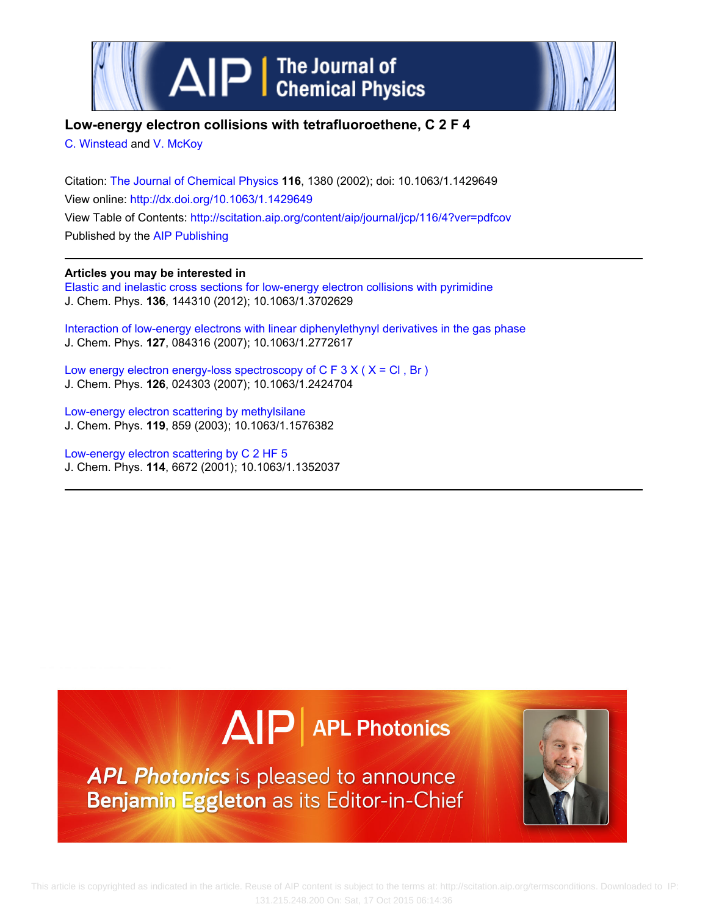



## **Low-energy electron collisions with tetrafluoroethene, C 2 F 4**

[C. Winstead](http://scitation.aip.org/search?value1=C.+Winstead&option1=author) and [V. McKoy](http://scitation.aip.org/search?value1=V.+McKoy&option1=author)

Citation: [The Journal of Chemical Physics](http://scitation.aip.org/content/aip/journal/jcp?ver=pdfcov) **116**, 1380 (2002); doi: 10.1063/1.1429649 View online: <http://dx.doi.org/10.1063/1.1429649> View Table of Contents: <http://scitation.aip.org/content/aip/journal/jcp/116/4?ver=pdfcov> Published by the [AIP Publishing](http://scitation.aip.org/content/aip?ver=pdfcov)

## **Articles you may be interested in**

[Elastic and inelastic cross sections for low-energy electron collisions with pyrimidine](http://scitation.aip.org/content/aip/journal/jcp/136/14/10.1063/1.3702629?ver=pdfcov) J. Chem. Phys. **136**, 144310 (2012); 10.1063/1.3702629

[Interaction of low-energy electrons with linear diphenylethynyl derivatives in the gas phase](http://scitation.aip.org/content/aip/journal/jcp/127/8/10.1063/1.2772617?ver=pdfcov) J. Chem. Phys. **127**, 084316 (2007); 10.1063/1.2772617

Low energy electron energy-loss spectroscopy of  $C \nvdash 3 X (X = Cl, Br)$ J. Chem. Phys. **126**, 024303 (2007); 10.1063/1.2424704

[Low-energy electron scattering by methylsilane](http://scitation.aip.org/content/aip/journal/jcp/119/2/10.1063/1.1576382?ver=pdfcov) J. Chem. Phys. **119**, 859 (2003); 10.1063/1.1576382

[Low-energy electron scattering by C 2 HF 5](http://scitation.aip.org/content/aip/journal/jcp/114/15/10.1063/1.1352037?ver=pdfcov) J. Chem. Phys. **114**, 6672 (2001); 10.1063/1.1352037



APL Photonics is pleased to announce Benjamin Eggleton as its Editor-in-Chief

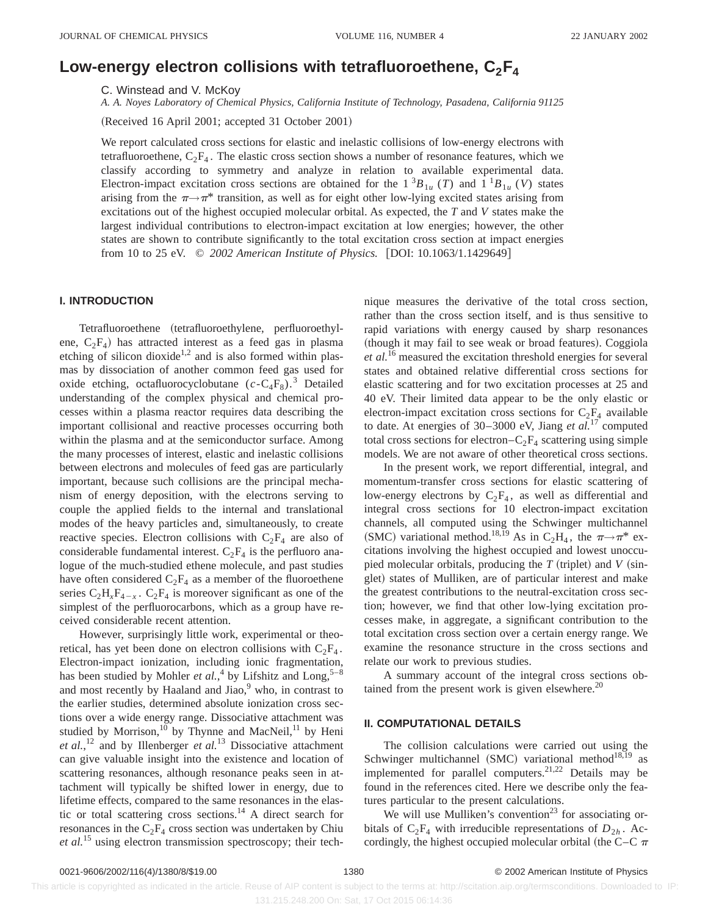# Low-energy electron collisions with tetrafluoroethene,  $C_2F_4$

C. Winstead and V. McKoy

*A. A. Noyes Laboratory of Chemical Physics, California Institute of Technology, Pasadena, California 91125*

(Received 16 April 2001; accepted 31 October 2001)

We report calculated cross sections for elastic and inelastic collisions of low-energy electrons with tetrafluoroethene,  $C_2F_4$ . The elastic cross section shows a number of resonance features, which we classify according to symmetry and analyze in relation to available experimental data. Electron-impact excitation cross sections are obtained for the  $1 \,^3B_{1u}$  (*T*) and  $1 \,^1B_{1u}$  (*V*) states arising from the  $\pi \rightarrow \pi^*$  transition, as well as for eight other low-lying excited states arising from excitations out of the highest occupied molecular orbital. As expected, the *T* and *V* states make the largest individual contributions to electron-impact excitation at low energies; however, the other states are shown to contribute significantly to the total excitation cross section at impact energies from 10 to 25 eV.  $\odot$  2002 American Institute of Physics. [DOI: 10.1063/1.1429649]

#### **I. INTRODUCTION**

Tetrafluoroethene (tetrafluoroethylene, perfluoroethylene,  $C_2F_4$ ) has attracted interest as a feed gas in plasma etching of silicon dioxide<sup>1,2</sup> and is also formed within plasmas by dissociation of another common feed gas used for oxide etching, octafluorocyclobutane  $(c - C_4F_8)^3$ .<sup>3</sup> Detailed understanding of the complex physical and chemical processes within a plasma reactor requires data describing the important collisional and reactive processes occurring both within the plasma and at the semiconductor surface. Among the many processes of interest, elastic and inelastic collisions between electrons and molecules of feed gas are particularly important, because such collisions are the principal mechanism of energy deposition, with the electrons serving to couple the applied fields to the internal and translational modes of the heavy particles and, simultaneously, to create reactive species. Electron collisions with  $C_2F_4$  are also of considerable fundamental interest.  $C_2F_4$  is the perfluoro analogue of the much-studied ethene molecule, and past studies have often considered  $C_2F_4$  as a member of the fluoroethene series  $C_2H_xF_{4-x}$ .  $C_2F_4$  is moreover significant as one of the simplest of the perfluorocarbons, which as a group have received considerable recent attention.

However, surprisingly little work, experimental or theoretical, has yet been done on electron collisions with  $C_2F_4$ . Electron-impact ionization, including ionic fragmentation, has been studied by Mohler *et al.*,<sup>4</sup> by Lifshitz and Long,<sup>5-8</sup> and most recently by Haaland and Jiao, $9$  who, in contrast to the earlier studies, determined absolute ionization cross sections over a wide energy range. Dissociative attachment was studied by Morrison,<sup>10</sup> by Thynne and MacNeil,<sup>11</sup> by Heni *et al.*, <sup>12</sup> and by Illenberger *et al.*<sup>13</sup> Dissociative attachment can give valuable insight into the existence and location of scattering resonances, although resonance peaks seen in attachment will typically be shifted lower in energy, due to lifetime effects, compared to the same resonances in the elastic or total scattering cross sections.<sup>14</sup> A direct search for resonances in the  $C_2F_4$  cross section was undertaken by Chiu *et al.*<sup>15</sup> using electron transmission spectroscopy; their technique measures the derivative of the total cross section, rather than the cross section itself, and is thus sensitive to rapid variations with energy caused by sharp resonances (though it may fail to see weak or broad features). Coggiola *et al.*<sup>16</sup> measured the excitation threshold energies for several states and obtained relative differential cross sections for elastic scattering and for two excitation processes at 25 and 40 eV. Their limited data appear to be the only elastic or electron-impact excitation cross sections for  $C_2F_4$  available to date. At energies of 30–3000 eV, Jiang *et al.*<sup>17</sup> computed total cross sections for electron– $C_2F_4$  scattering using simple models. We are not aware of other theoretical cross sections.

In the present work, we report differential, integral, and momentum-transfer cross sections for elastic scattering of low-energy electrons by  $C_2F_4$ , as well as differential and integral cross sections for 10 electron-impact excitation channels, all computed using the Schwinger multichannel (SMC) variational method.<sup>18,19</sup> As in C<sub>2</sub>H<sub>4</sub>, the  $\pi \rightarrow \pi^*$  excitations involving the highest occupied and lowest unoccupied molecular orbitals, producing the  $T$  (triplet) and  $V$  (singlet) states of Mulliken, are of particular interest and make the greatest contributions to the neutral-excitation cross section; however, we find that other low-lying excitation processes make, in aggregate, a significant contribution to the total excitation cross section over a certain energy range. We examine the resonance structure in the cross sections and relate our work to previous studies.

A summary account of the integral cross sections obtained from the present work is given elsewhere. $^{20}$ 

## **II. COMPUTATIONAL DETAILS**

The collision calculations were carried out using the Schwinger multichannel  $(SMC)$  variational method<sup>18,19</sup> as implemented for parallel computers.<sup>21,22</sup> Details may be found in the references cited. Here we describe only the features particular to the present calculations.

We will use Mulliken's convention<sup>23</sup> for associating orbitals of  $C_2F_4$  with irreducible representations of  $D_{2h}$ . Accordingly, the highest occupied molecular orbital (the C–C  $\pi$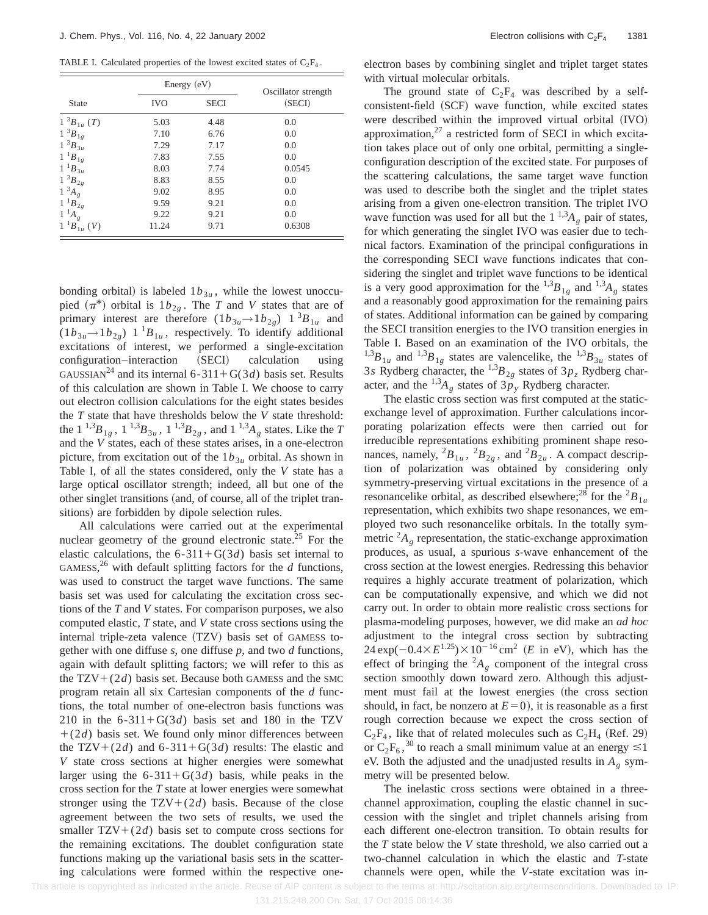TABLE I. Calculated properties of the lowest excited states of  $C_2F_4$ .

|                    | Energy (eV) |             | Oscillator strength |
|--------------------|-------------|-------------|---------------------|
| <b>State</b>       | <b>IVO</b>  | <b>SECI</b> | (SECI)              |
| $1 \,^3B_{1u} (T)$ | 5.03        | 4.48        | 0.0                 |
| $1~^3B_{1g}$       | 7.10        | 6.76        | 0.0                 |
| $1~^3B_{3u}$       | 7.29        | 7.17        | 0.0                 |
| $1~^{1}B_{1g}$     | 7.83        | 7.55        | 0.0                 |
| $1~^1B_{3u}$       | 8.03        | 7.74        | 0.0545              |
| $1~^3B_{2g}$       | 8.83        | 8.55        | 0.0                 |
| $1~^{3}A_{g}$      | 9.02        | 8.95        | 0.0                 |
| $1~^1B_{2g}$       | 9.59        | 9.21        | 0.0                 |
| $1^{-1}A_{g}$      | 9.22        | 9.21        | 0.0                 |
| $1^{1}B_{1u}$ (V)  | 11.24       | 9.71        | 0.6308              |

bonding orbital) is labeled  $1b_{3u}$ , while the lowest unoccupied  $(\pi^*)$  orbital is  $1b_{2g}$ . The *T* and *V* states that are of primary interest are therefore  $(1b_{3u} \rightarrow 1b_{2g})$  1<sup>3</sup>*B*<sub>1*u*</sub> and  $(1b_{3u} \rightarrow 1b_{2g})$  1<sup>1</sup> $B_{1u}$ , respectively. To identify additional excitations of interest, we performed a single-excitation configuration–interaction (SECI) calculation using GAUSSIAN<sup>24</sup> and its internal 6-311+G(3*d*) basis set. Results of this calculation are shown in Table I. We choose to carry out electron collision calculations for the eight states besides the *T* state that have thresholds below the *V* state threshold: the  $1^{1,3}B_{1g}$ ,  $1^{1,3}B_{3u}$ ,  $1^{1,3}B_{2g}$ , and  $1^{1,3}A_g$  states. Like the *T* and the *V* states, each of these states arises, in a one-electron picture, from excitation out of the  $1b_{3u}$  orbital. As shown in Table I, of all the states considered, only the *V* state has a large optical oscillator strength; indeed, all but one of the other singlet transitions (and, of course, all of the triplet transitions) are forbidden by dipole selection rules.

All calculations were carried out at the experimental nuclear geometry of the ground electronic state.<sup>25</sup> For the elastic calculations, the  $6-311+G(3d)$  basis set internal to GAMESS,<sup>26</sup> with default splitting factors for the  $d$  functions, was used to construct the target wave functions. The same basis set was used for calculating the excitation cross sections of the *T* and *V* states. For comparison purposes, we also computed elastic, *T* state, and *V* state cross sections using the internal triple-zeta valence (TZV) basis set of GAMESS together with one diffuse *s*, one diffuse *p*, and two *d* functions, again with default splitting factors; we will refer to this as the  $TZV+(2d)$  basis set. Because both GAMESS and the SMC program retain all six Cartesian components of the *d* functions, the total number of one-electron basis functions was 210 in the  $6-311+G(3d)$  basis set and 180 in the TZV  $+(2d)$  basis set. We found only minor differences between the TZV+(2*d*) and 6-311+G(3*d*) results: The elastic and *V* state cross sections at higher energies were somewhat larger using the  $6-311+G(3d)$  basis, while peaks in the cross section for the *T* state at lower energies were somewhat stronger using the  $TZV+(2d)$  basis. Because of the close agreement between the two sets of results, we used the smaller  $TZV+(2d)$  basis set to compute cross sections for the remaining excitations. The doublet configuration state functions making up the variational basis sets in the scattering calculations were formed within the respective oneelectron bases by combining singlet and triplet target states with virtual molecular orbitals.

The ground state of  $C_2F_4$  was described by a selfconsistent-field (SCF) wave function, while excited states were described within the improved virtual orbital (IVO) approximation, $27$  a restricted form of SECI in which excitation takes place out of only one orbital, permitting a singleconfiguration description of the excited state. For purposes of the scattering calculations, the same target wave function was used to describe both the singlet and the triplet states arising from a given one-electron transition. The triplet IVO wave function was used for all but the  $1^{1,3}A_{g}$  pair of states, for which generating the singlet IVO was easier due to technical factors. Examination of the principal configurations in the corresponding SECI wave functions indicates that considering the singlet and triplet wave functions to be identical is a very good approximation for the  $^{1,3}B_{1g}$  and  $^{1,3}A_g$  states and a reasonably good approximation for the remaining pairs of states. Additional information can be gained by comparing the SECI transition energies to the IVO transition energies in Table I. Based on an examination of the IVO orbitals, the  $^{1,3}B_{1u}$  and  $^{1,3}B_{1g}$  states are valencelike, the  $^{1,3}B_{3u}$  states of 3*s* Rydberg character, the <sup>1,3</sup> $B_{2g}$  states of 3 $p_z$  Rydberg character, and the  $^{1,3}A_{g}$  states of  $3p_{y}$  Rydberg character.

The elastic cross section was first computed at the staticexchange level of approximation. Further calculations incorporating polarization effects were then carried out for irreducible representations exhibiting prominent shape resonances, namely,  ${}^2B_{1u}$ ,  ${}^2B_{2g}$ , and  ${}^2B_{2u}$ . A compact description of polarization was obtained by considering only symmetry-preserving virtual excitations in the presence of a resonancelike orbital, as described elsewhere;<sup>28</sup> for the  ${}^{2}B_{1}$ <sub>*u*</sub> representation, which exhibits two shape resonances, we employed two such resonancelike orbitals. In the totally symmetric  ${}^2A_\rho$  representation, the static-exchange approximation produces, as usual, a spurious *s*-wave enhancement of the cross section at the lowest energies. Redressing this behavior requires a highly accurate treatment of polarization, which can be computationally expensive, and which we did not carry out. In order to obtain more realistic cross sections for plasma-modeling purposes, however, we did make an *ad hoc* adjustment to the integral cross section by subtracting  $24 \exp(-0.4 \times E^{1.25}) \times 10^{-16} \text{ cm}^2$  (*E* in eV), which has the effect of bringing the  ${}^2A_\varrho$  component of the integral cross section smoothly down toward zero. Although this adjustment must fail at the lowest energies (the cross section should, in fact, be nonzero at  $E=0$ ), it is reasonable as a first rough correction because we expect the cross section of  $C_2F_4$ , like that of related molecules such as  $C_2H_4$  (Ref. 29) or  $C_2F_6$ ,<sup>30</sup> to reach a small minimum value at an energy  $\leq 1$ eV. Both the adjusted and the unadjusted results in  $A_g$  symmetry will be presented below.

The inelastic cross sections were obtained in a threechannel approximation, coupling the elastic channel in succession with the singlet and triplet channels arising from each different one-electron transition. To obtain results for the *T* state below the *V* state threshold, we also carried out a two-channel calculation in which the elastic and *T*-state channels were open, while the *V*-state excitation was in-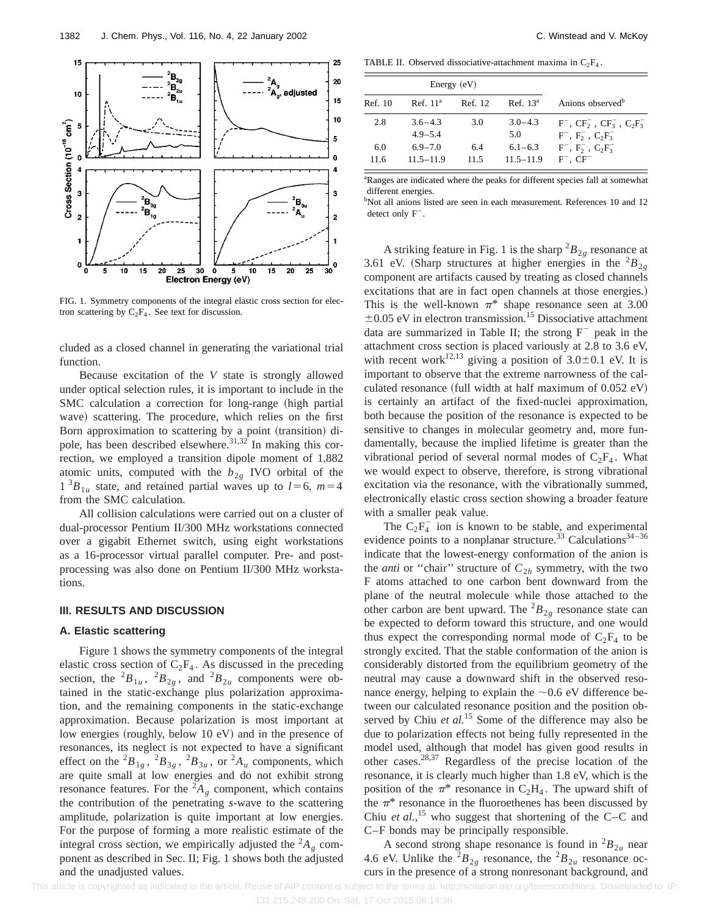

FIG. 1. Symmetry components of the integral elastic cross section for electron scattering by  $C_2F_4$ . See text for discussion.

cluded as a closed channel in generating the variational trial function.

Because excitation of the *V* state is strongly allowed under optical selection rules, it is important to include in the SMC calculation a correction for long-range (high partial wave) scattering. The procedure, which relies on the first Born approximation to scattering by a point (transition) dipole, has been described elsewhere.<sup>31,32</sup> In making this correction, we employed a transition dipole moment of 1.882 atomic units, computed with the  $b_{2g}$  IVO orbital of the  $1^{3}B_{1u}$  state, and retained partial waves up to  $l=6$ ,  $m=4$ from the SMC calculation.

All collision calculations were carried out on a cluster of dual-processor Pentium II/300 MHz workstations connected over a gigabit Ethernet switch, using eight workstations as a 16-processor virtual parallel computer. Pre- and postprocessing was also done on Pentium II/300 MHz workstations.

### **III. RESULTS AND DISCUSSION**

#### **A. Elastic scattering**

Figure 1 shows the symmetry components of the integral elastic cross section of  $C_2F_4$ . As discussed in the preceding section, the  ${}^{2}B_{1u}$ ,  ${}^{2}B_{2g}$ , and  ${}^{2}B_{2u}$  components were obtained in the static-exchange plus polarization approximation, and the remaining components in the static-exchange approximation. Because polarization is most important at low energies (roughly, below 10 eV) and in the presence of resonances, its neglect is not expected to have a significant effect on the  ${}^{2}B_{1g}$ ,  ${}^{2}B_{3g}$ ,  ${}^{2}B_{3u}$ , or  ${}^{2}A_u$  components, which are quite small at low energies and do not exhibit strong resonance features. For the  ${}^{2}A_{\rho}$  component, which contains the contribution of the penetrating *s*-wave to the scattering amplitude, polarization is quite important at low energies. For the purpose of forming a more realistic estimate of the integral cross section, we empirically adjusted the  ${}^{2}A_{g}$  component as described in Sec. II; Fig. 1 shows both the adjusted and the unadjusted values.

TABLE II. Observed dissociative-attachment maxima in  $C_2F_4$ .

| Energy $(eV)$ |                      |         |                      |                                          |
|---------------|----------------------|---------|----------------------|------------------------------------------|
| Ref. 10       | Ref. 11 <sup>a</sup> | Ref. 12 | Ref. 13 <sup>a</sup> | Anions observed <sup>b</sup>             |
| 2.8           | $3.6 - 4.3$          | 3.0     | $3.0 - 4.3$          | $F^-$ , $CF_2^-$ , $CF_3^-$ , $C_2F_3^-$ |
|               | $4.9 - 5.4$          |         | 5.0                  | $F^{-}$ , $F_{2}^{-}$ , $C_{2}F_{3}^{-}$ |
| 6.0           | $6.9 - 7.0$          | 6.4     | $6.1 - 6.3$          | $F^{-}$ , $F_{2}^{-}$ , $C_{2}F_{3}^{-}$ |
| 11.6          | $11.5 - 11.9$        | 11.5    | $11.5 - 11.9$        | $F^-$ , $CF^-$                           |

<sup>a</sup>Ranges are indicated where the peaks for different species fall at somewhat different energies.

<sup>b</sup>Not all anions listed are seen in each measurement. References 10 and 12 detect only  $F^-$ .

A striking feature in Fig. 1 is the sharp  ${}^{2}B_{2g}$  resonance at 3.61 eV. (Sharp structures at higher energies in the  ${}^{2}B_{2g}$ component are artifacts caused by treating as closed channels excitations that are in fact open channels at those energies.) This is the well-known  $\pi^*$  shape resonance seen at 3.00  $\pm 0.05$  eV in electron transmission.<sup>15</sup> Dissociative attachment data are summarized in Table II; the strong  $F^-$  peak in the attachment cross section is placed variously at 2.8 to 3.6 eV, with recent work<sup>12,13</sup> giving a position of  $3.0\pm0.1$  eV. It is important to observe that the extreme narrowness of the calculated resonance (full width at half maximum of  $0.052$  eV) is certainly an artifact of the fixed-nuclei approximation, both because the position of the resonance is expected to be sensitive to changes in molecular geometry and, more fundamentally, because the implied lifetime is greater than the vibrational period of several normal modes of  $C_2F_4$ . What we would expect to observe, therefore, is strong vibrational excitation via the resonance, with the vibrationally summed, electronically elastic cross section showing a broader feature with a smaller peak value.

The  $C_2F_4^-$  ion is known to be stable, and experimental evidence points to a nonplanar structure.<sup>33</sup> Calculations<sup>34-36</sup> indicate that the lowest-energy conformation of the anion is the *anti* or "chair" structure of  $C_{2h}$  symmetry, with the two F atoms attached to one carbon bent downward from the plane of the neutral molecule while those attached to the other carbon are bent upward. The  ${}^{2}B_{2g}$  resonance state can be expected to deform toward this structure, and one would thus expect the corresponding normal mode of  $C_2F_4$  to be strongly excited. That the stable conformation of the anion is considerably distorted from the equilibrium geometry of the neutral may cause a downward shift in the observed resonance energy, helping to explain the  $\sim 0.6$  eV difference between our calculated resonance position and the position observed by Chiu *et al.*<sup>15</sup> Some of the difference may also be due to polarization effects not being fully represented in the model used, although that model has given good results in other cases.28,37 Regardless of the precise location of the resonance, it is clearly much higher than 1.8 eV, which is the position of the  $\pi^*$  resonance in C<sub>2</sub>H<sub>4</sub>. The upward shift of the  $\pi^*$  resonance in the fluoroethenes has been discussed by Chiu *et al.*,<sup>15</sup> who suggest that shortening of the C–C and C–F bonds may be principally responsible.

A second strong shape resonance is found in  ${}^{2}B_{2u}$  near 4.6 eV. Unlike the  ${}^{2}B_{2g}$  resonance, the  ${}^{2}B_{2u}$  resonance occurs in the presence of a strong nonresonant background, and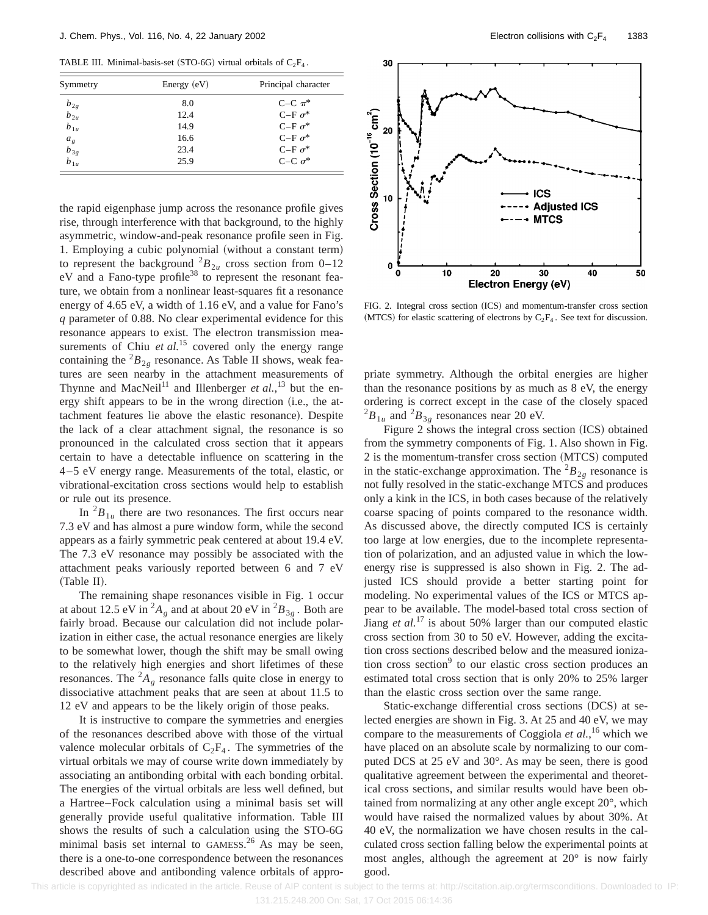TABLE III. Minimal-basis-set (STO-6G) virtual orbitals of  $C_2F_4$ .

| Symmetry                                    | Energy $(eV)$ | Principal character |  |
|---------------------------------------------|---------------|---------------------|--|
|                                             | 8.0           | C-C $\pi^*$         |  |
| $b_{2g}$<br>$b_{2u}$                        | 12.4          | C-F $\sigma^*$      |  |
| $b_{1u}$                                    | 14.9          | $C-F \sigma^*$      |  |
|                                             | 16.6          | C-F $\sigma^*$      |  |
| $\begin{matrix} a_g \\ b_{3g} \end{matrix}$ | 23.4          | C-F $\sigma^*$      |  |
| $b_{1u}$                                    | 25.9          | C-C $\sigma^*$      |  |

the rapid eigenphase jump across the resonance profile gives rise, through interference with that background, to the highly asymmetric, window-and-peak resonance profile seen in Fig. 1. Employing a cubic polynomial (without a constant term) to represent the background  ${}^{2}B_{2u}$  cross section from 0–12 eV and a Fano-type profile<sup>38</sup> to represent the resonant feature, we obtain from a nonlinear least-squares fit a resonance energy of 4.65 eV, a width of 1.16 eV, and a value for Fano's *q* parameter of 0.88. No clear experimental evidence for this resonance appears to exist. The electron transmission measurements of Chiu *et al.*<sup>15</sup> covered only the energy range containing the  ${}^{2}B_{2g}$  resonance. As Table II shows, weak features are seen nearby in the attachment measurements of Thynne and MacNeil<sup>11</sup> and Illenberger *et al.*,<sup>13</sup> but the energy shift appears to be in the wrong direction (i.e., the attachment features lie above the elastic resonance). Despite the lack of a clear attachment signal, the resonance is so pronounced in the calculated cross section that it appears certain to have a detectable influence on scattering in the 4–5 eV energy range. Measurements of the total, elastic, or vibrational-excitation cross sections would help to establish or rule out its presence.

In  ${}^{2}B_{1u}$  there are two resonances. The first occurs near 7.3 eV and has almost a pure window form, while the second appears as a fairly symmetric peak centered at about 19.4 eV. The 7.3 eV resonance may possibly be associated with the attachment peaks variously reported between 6 and 7 eV (Table II).

The remaining shape resonances visible in Fig. 1 occur at about 12.5 eV in  ${}^2A_g$  and at about 20 eV in  ${}^2B_{3g}$ . Both are fairly broad. Because our calculation did not include polarization in either case, the actual resonance energies are likely to be somewhat lower, though the shift may be small owing to the relatively high energies and short lifetimes of these resonances. The  ${}^2A_g$  resonance falls quite close in energy to dissociative attachment peaks that are seen at about 11.5 to 12 eV and appears to be the likely origin of those peaks.

It is instructive to compare the symmetries and energies of the resonances described above with those of the virtual valence molecular orbitals of  $C_2F_4$ . The symmetries of the virtual orbitals we may of course write down immediately by associating an antibonding orbital with each bonding orbital. The energies of the virtual orbitals are less well defined, but a Hartree–Fock calculation using a minimal basis set will generally provide useful qualitative information. Table III shows the results of such a calculation using the STO-6G minimal basis set internal to GAMESS.<sup>26</sup> As may be seen, there is a one-to-one correspondence between the resonances described above and antibonding valence orbitals of appro-



FIG. 2. Integral cross section (ICS) and momentum-transfer cross section (MTCS) for elastic scattering of electrons by  $C_2F_4$ . See text for discussion.

priate symmetry. Although the orbital energies are higher than the resonance positions by as much as 8 eV, the energy ordering is correct except in the case of the closely spaced  $^{2}B_{1u}$  and  $^{2}B_{3g}$  resonances near 20 eV.

Figure 2 shows the integral cross section (ICS) obtained from the symmetry components of Fig. 1. Also shown in Fig.  $2$  is the momentum-transfer cross section  $(MTCS)$  computed in the static-exchange approximation. The  ${}^{2}B_{2\rho}$  resonance is not fully resolved in the static-exchange MTCS and produces only a kink in the ICS, in both cases because of the relatively coarse spacing of points compared to the resonance width. As discussed above, the directly computed ICS is certainly too large at low energies, due to the incomplete representation of polarization, and an adjusted value in which the lowenergy rise is suppressed is also shown in Fig. 2. The adjusted ICS should provide a better starting point for modeling. No experimental values of the ICS or MTCS appear to be available. The model-based total cross section of Jiang *et al.*<sup>17</sup> is about 50% larger than our computed elastic cross section from 30 to 50 eV. However, adding the excitation cross sections described below and the measured ionization cross section $9$  to our elastic cross section produces an estimated total cross section that is only 20% to 25% larger than the elastic cross section over the same range.

Static-exchange differential cross sections (DCS) at selected energies are shown in Fig. 3. At 25 and 40 eV, we may compare to the measurements of Coggiola *et al.*, <sup>16</sup> which we have placed on an absolute scale by normalizing to our computed DCS at 25 eV and 30°. As may be seen, there is good qualitative agreement between the experimental and theoretical cross sections, and similar results would have been obtained from normalizing at any other angle except 20°, which would have raised the normalized values by about 30%. At 40 eV, the normalization we have chosen results in the calculated cross section falling below the experimental points at most angles, although the agreement at 20° is now fairly good.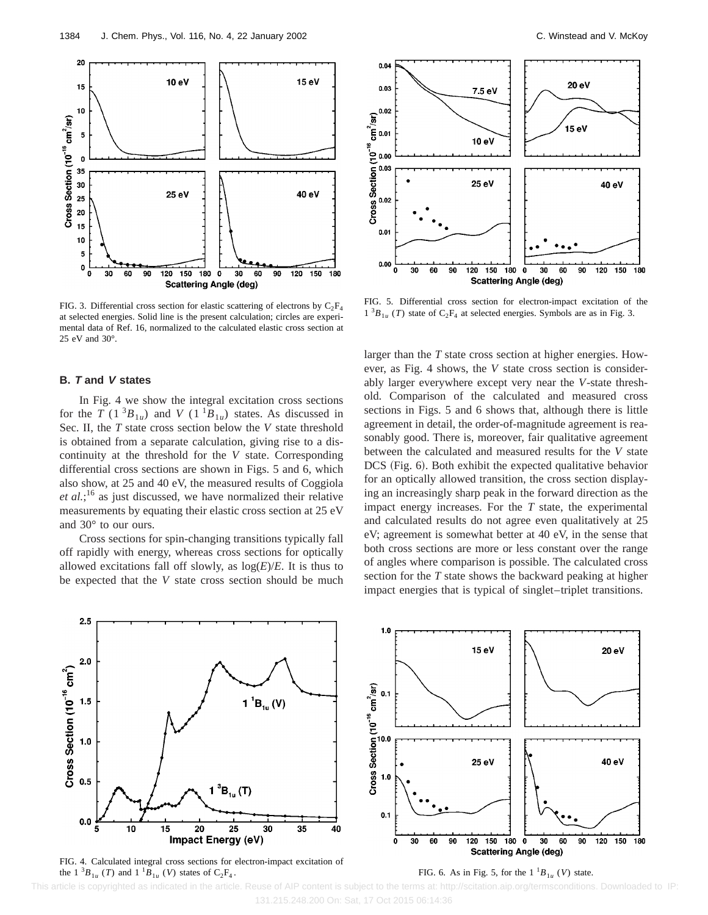

FIG. 3. Differential cross section for elastic scattering of electrons by  $C_2F_4$ at selected energies. Solid line is the present calculation; circles are experimental data of Ref. 16, normalized to the calculated elastic cross section at 25 eV and 30°.

### **B. T and V states**

In Fig. 4 we show the integral excitation cross sections for the *T* (1<sup>3</sup> $B_{1u}$ ) and *V* (1<sup>1</sup> $B_{1u}$ ) states. As discussed in Sec. II, the *T* state cross section below the *V* state threshold is obtained from a separate calculation, giving rise to a discontinuity at the threshold for the *V* state. Corresponding differential cross sections are shown in Figs. 5 and 6, which also show, at 25 and 40 eV, the measured results of Coggiola *et al.*; <sup>16</sup> as just discussed, we have normalized their relative measurements by equating their elastic cross section at 25 eV and 30° to our ours.

Cross sections for spin-changing transitions typically fall off rapidly with energy, whereas cross sections for optically allowed excitations fall off slowly, as  $log(E)/E$ . It is thus to be expected that the *V* state cross section should be much



FIG. 5. Differential cross section for electron-impact excitation of the  $1^{3}B_{1u}$  (*T*) state of C<sub>2</sub>F<sub>4</sub> at selected energies. Symbols are as in Fig. 3.

larger than the *T* state cross section at higher energies. However, as Fig. 4 shows, the *V* state cross section is considerably larger everywhere except very near the *V*-state threshold. Comparison of the calculated and measured cross sections in Figs. 5 and 6 shows that, although there is little agreement in detail, the order-of-magnitude agreement is reasonably good. There is, moreover, fair qualitative agreement between the calculated and measured results for the *V* state DCS (Fig. 6). Both exhibit the expected qualitative behavior for an optically allowed transition, the cross section displaying an increasingly sharp peak in the forward direction as the impact energy increases. For the *T* state, the experimental and calculated results do not agree even qualitatively at 25 eV; agreement is somewhat better at 40 eV, in the sense that both cross sections are more or less constant over the range of angles where comparison is possible. The calculated cross section for the *T* state shows the backward peaking at higher impact energies that is typical of singlet–triplet transitions.



FIG. 4. Calculated integral cross sections for electron-impact excitation of the  $1 \ {}^{3}B_{1u}$  (*T*) and  $1 \ {}^{1}B_{1u}$  (*V*) states of C<sub>2</sub>F<sub>4</sub>.

FIG. 6. As in Fig. 5, for the  $1^{1}B_{1u}$  (*V*) state.

 This article is copyrighted as indicated in the article. Reuse of AIP content is subject to the terms at: http://scitation.aip.org/termsconditions. Downloaded to IP: 131.215.248.200 On: Sat, 17 Oct 2015 06:14:36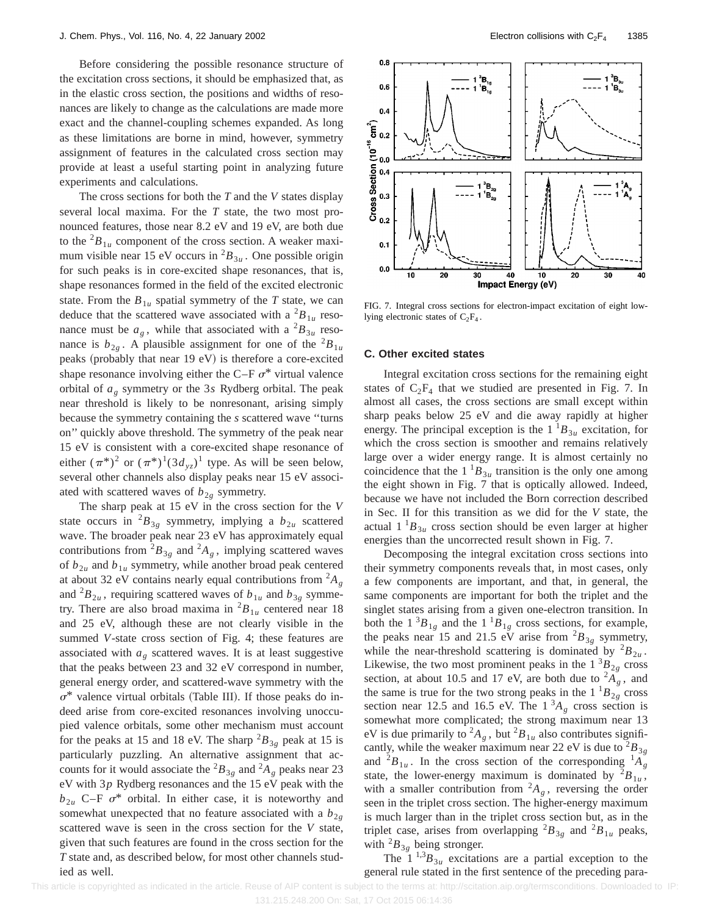Before considering the possible resonance structure of the excitation cross sections, it should be emphasized that, as in the elastic cross section, the positions and widths of resonances are likely to change as the calculations are made more exact and the channel-coupling schemes expanded. As long as these limitations are borne in mind, however, symmetry assignment of features in the calculated cross section may provide at least a useful starting point in analyzing future experiments and calculations.

The cross sections for both the *T* and the *V* states display several local maxima. For the *T* state, the two most pronounced features, those near 8.2 eV and 19 eV, are both due to the  ${}^{2}B_{1u}$  component of the cross section. A weaker maximum visible near 15 eV occurs in  ${}^{2}B_{3u}$ . One possible origin for such peaks is in core-excited shape resonances, that is, shape resonances formed in the field of the excited electronic state. From the  $B_{1u}$  spatial symmetry of the *T* state, we can deduce that the scattered wave associated with a  ${}^{2}B_{1u}$  resonance must be  $a_g$ , while that associated with a  ${}^2B_{3u}$  resonance is  $b_{2g}$ . A plausible assignment for one of the <sup>2</sup> $B_{1u}$ peaks (probably that near  $19 \text{ eV}$ ) is therefore a core-excited shape resonance involving either the C–F  $\sigma^*$  virtual valence orbital of *ag* symmetry or the 3*s* Rydberg orbital. The peak near threshold is likely to be nonresonant, arising simply because the symmetry containing the *s* scattered wave ''turns on'' quickly above threshold. The symmetry of the peak near 15 eV is consistent with a core-excited shape resonance of either  $(\pi^*)^2$  or  $(\pi^*)^1(3d_{yz})^1$  type. As will be seen below, several other channels also display peaks near 15 eV associated with scattered waves of  $b_{2g}$  symmetry.

The sharp peak at 15 eV in the cross section for the *V* state occurs in  ${}^{2}B_{3g}$  symmetry, implying a  $b_{2u}$  scattered wave. The broader peak near 23 eV has approximately equal contributions from  ${}^{2}B_{3g}$  and  ${}^{2}A_{g}$ , implying scattered waves of  $b_{2u}$  and  $b_{1u}$  symmetry, while another broad peak centered at about 32 eV contains nearly equal contributions from  ${}^{2}A_{g}$ and  ${}^{2}B_{2u}$ , requiring scattered waves of  $b_{1u}$  and  $b_{3g}$  symmetry. There are also broad maxima in  ${}^{2}B_{1u}$  centered near 18 and 25 eV, although these are not clearly visible in the summed *V*-state cross section of Fig. 4; these features are associated with  $a_g$  scattered waves. It is at least suggestive that the peaks between 23 and 32 eV correspond in number, general energy order, and scattered-wave symmetry with the  $\sigma^*$  valence virtual orbitals (Table III). If those peaks do indeed arise from core-excited resonances involving unoccupied valence orbitals, some other mechanism must account for the peaks at 15 and 18 eV. The sharp  ${}^{2}B_{3g}$  peak at 15 is particularly puzzling. An alternative assignment that accounts for it would associate the  ${}^2B_{3g}$  and  ${}^2A_g$  peaks near 23 eV with 3*p* Rydberg resonances and the 15 eV peak with the  $b_{2u}$  C–F  $\sigma^*$  orbital. In either case, it is noteworthy and somewhat unexpected that no feature associated with a  $b_{2g}$ scattered wave is seen in the cross section for the *V* state, given that such features are found in the cross section for the *T* state and, as described below, for most other channels studied as well.



FIG. 7. Integral cross sections for electron-impact excitation of eight lowlying electronic states of  $C_2F_4$ .

#### **C. Other excited states**

Integral excitation cross sections for the remaining eight states of  $C_2F_4$  that we studied are presented in Fig. 7. In almost all cases, the cross sections are small except within sharp peaks below 25 eV and die away rapidly at higher energy. The principal exception is the  $1^{\text{th}}B_{3\mu}$  excitation, for which the cross section is smoother and remains relatively large over a wider energy range. It is almost certainly no coincidence that the  $1^{1}B_{3u}$  transition is the only one among the eight shown in Fig. 7 that is optically allowed. Indeed, because we have not included the Born correction described in Sec. II for this transition as we did for the *V* state, the actual  $1^{1}B_{3u}$  cross section should be even larger at higher energies than the uncorrected result shown in Fig. 7.

Decomposing the integral excitation cross sections into their symmetry components reveals that, in most cases, only a few components are important, and that, in general, the same components are important for both the triplet and the singlet states arising from a given one-electron transition. In both the  $1 \,^3B_{1g}$  and the  $1 \,^1B_{1g}$  cross sections, for example, the peaks near 15 and 21.5 eV arise from  ${}^{2}B_{3p}$  symmetry, while the near-threshold scattering is dominated by  ${}^{2}B_{2u}$ . Likewise, the two most prominent peaks in the  $1 \,^3B_{2g}$  cross section, at about 10.5 and 17 eV, are both due to  ${}^{2}A_{g}$ , and the same is true for the two strong peaks in the  $1^{1}B_{2g}$  cross section near 12.5 and 16.5 eV. The  $1<sup>3</sup>A<sub>g</sub>$  cross section is somewhat more complicated; the strong maximum near 13 eV is due primarily to  ${}^2A_g$ , but  ${}^2B_{1u}$  also contributes significantly, while the weaker maximum near 22 eV is due to  ${}^{2}B_{3g}$ and  ${}^{2}B_{1u}$ . In the cross section of the corresponding  ${}^{1}A_{g}$ state, the lower-energy maximum is dominated by  ${}^{2}B_{1u}$ , with a smaller contribution from  ${}^2A_g$ , reversing the order seen in the triplet cross section. The higher-energy maximum is much larger than in the triplet cross section but, as in the triplet case, arises from overlapping  ${}^{2}B_{3g}$  and  ${}^{2}B_{1u}$  peaks, with  ${}^{2}B_{3g}$  being stronger.

The  $1^{1,3}B_{3u}$  excitations are a partial exception to the general rule stated in the first sentence of the preceding para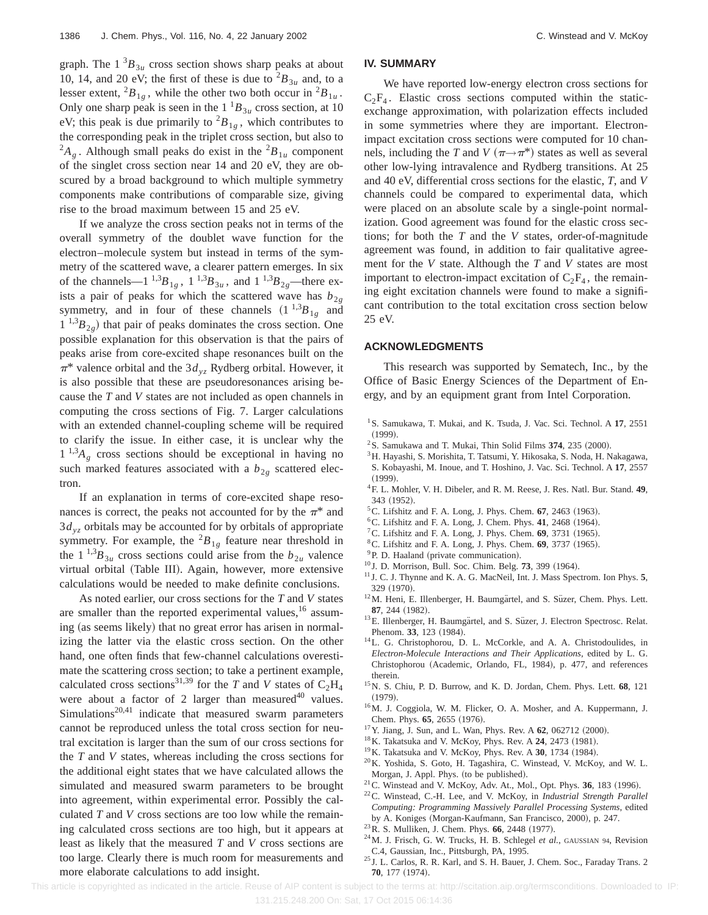graph. The  $1 \,^3B_{3u}$  cross section shows sharp peaks at about 10, 14, and 20 eV; the first of these is due to  ${}^{2}B_{3u}$  and, to a lesser extent,  ${}^2B_{1g}$ , while the other two both occur in  ${}^2B_{1u}$ . Only one sharp peak is seen in the  $1^{1}B_{3u}$  cross section, at 10 eV; this peak is due primarily to  ${}^{2}B_{1g}$ , which contributes to the corresponding peak in the triplet cross section, but also to  $^{2}A_{g}$ . Although small peaks do exist in the  $^{2}B_{1u}$  component of the singlet cross section near 14 and 20 eV, they are obscured by a broad background to which multiple symmetry components make contributions of comparable size, giving rise to the broad maximum between 15 and 25 eV.

If we analyze the cross section peaks not in terms of the overall symmetry of the doublet wave function for the electron–molecule system but instead in terms of the symmetry of the scattered wave, a clearer pattern emerges. In six of the channels—1  $^{1,3}B_{1g}$ ,  $1^{1,3}B_{3u}$ , and  $1^{1,3}B_{2g}$ —there exists a pair of peaks for which the scattered wave has  $b_{2g}$ symmetry, and in four of these channels  $(1^{1,3}B_{1g}$  and  $1^{1,3}B_{2g}$  that pair of peaks dominates the cross section. One possible explanation for this observation is that the pairs of peaks arise from core-excited shape resonances built on the  $\pi^*$  valence orbital and the 3 $d_{yz}$  Rydberg orbital. However, it is also possible that these are pseudoresonances arising because the *T* and *V* states are not included as open channels in computing the cross sections of Fig. 7. Larger calculations with an extended channel-coupling scheme will be required to clarify the issue. In either case, it is unclear why the  $1^{1,3}A_{\varphi}$  cross sections should be exceptional in having no such marked features associated with a  $b_{2g}$  scattered electron.

If an explanation in terms of core-excited shape resonances is correct, the peaks not accounted for by the  $\pi^*$  and 3*dyz* orbitals may be accounted for by orbitals of appropriate symmetry. For example, the  ${}^{2}B_{1g}$  feature near threshold in the 1<sup>1,3</sup> $B_{3u}$  cross sections could arise from the  $b_{2u}$  valence virtual orbital (Table III). Again, however, more extensive calculations would be needed to make definite conclusions.

As noted earlier, our cross sections for the *T* and *V* states are smaller than the reported experimental values,<sup>16</sup> assuming (as seems likely) that no great error has arisen in normalizing the latter via the elastic cross section. On the other hand, one often finds that few-channel calculations overestimate the scattering cross section; to take a pertinent example, calculated cross sections<sup>31,39</sup> for the *T* and *V* states of  $C_2H_4$ were about a factor of 2 larger than measured $40$  values.  $Simulations<sup>20,41</sup> indicate that measured swarm parameters$ cannot be reproduced unless the total cross section for neutral excitation is larger than the sum of our cross sections for the *T* and *V* states, whereas including the cross sections for the additional eight states that we have calculated allows the simulated and measured swarm parameters to be brought into agreement, within experimental error. Possibly the calculated *T* and *V* cross sections are too low while the remaining calculated cross sections are too high, but it appears at least as likely that the measured *T* and *V* cross sections are too large. Clearly there is much room for measurements and more elaborate calculations to add insight.

#### **IV. SUMMARY**

We have reported low-energy electron cross sections for  $C_2F_4$ . Elastic cross sections computed within the staticexchange approximation, with polarization effects included in some symmetries where they are important. Electronimpact excitation cross sections were computed for 10 channels, including the *T* and *V* ( $\pi \rightarrow \pi^*$ ) states as well as several other low-lying intravalence and Rydberg transitions. At 25 and 40 eV, differential cross sections for the elastic, *T*, and *V* channels could be compared to experimental data, which were placed on an absolute scale by a single-point normalization. Good agreement was found for the elastic cross sections; for both the *T* and the *V* states, order-of-magnitude agreement was found, in addition to fair qualitative agreement for the *V* state. Although the *T* and *V* states are most important to electron-impact excitation of  $C_2F_4$ , the remaining eight excitation channels were found to make a significant contribution to the total excitation cross section below 25 eV.

#### **ACKNOWLEDGMENTS**

This research was supported by Sematech, Inc., by the Office of Basic Energy Sciences of the Department of Energy, and by an equipment grant from Intel Corporation.

- <sup>1</sup>S. Samukawa, T. Mukai, and K. Tsuda, J. Vac. Sci. Technol. A 17, 2551  $(1999).$
- $2$ S. Samukawa and T. Mukai, Thin Solid Films  $374$ ,  $235$   $(2000)$ .
- <sup>3</sup>H. Hayashi, S. Morishita, T. Tatsumi, Y. Hikosaka, S. Noda, H. Nakagawa, S. Kobayashi, M. Inoue, and T. Hoshino, J. Vac. Sci. Technol. A **17**, 2557  $(1999).$
- 4F. L. Mohler, V. H. Dibeler, and R. M. Reese, J. Res. Natl. Bur. Stand. **49**, 343 (1952).
- ${}^5C$ . Lifshitz and F. A. Long, J. Phys. Chem. **67**, 2463 (1963).
- ${}^{6}$ C. Lifshitz and F. A. Long, J. Chem. Phys. 41, 2468 (1964).
- <sup>7</sup>C. Lifshitz and F. A. Long, J. Phys. Chem.  $69$ , 3731 (1965).
- <sup>8</sup> C. Lifshitz and F. A. Long, J. Phys. Chem. **69**, 3737 (1965).
- $^{9}$ P. D. Haaland (private communication).
- <sup>10</sup> J. D. Morrison, Bull. Soc. Chim. Belg. **73**, 399 (1964).
- <sup>11</sup> J. C. J. Thynne and K. A. G. MacNeil, Int. J. Mass Spectrom. Ion Phys. **5**, 329 (1970).
- <sup>12</sup>M. Heni, E. Illenberger, H. Baumgärtel, and S. Süzer, Chem. Phys. Lett. 87, 244 (1982).
- <sup>13</sup>E. Illenberger, H. Baumgärtel, and S. Süzer, J. Electron Spectrosc. Relat. Phenom. 33, 123 (1984).
- 14L. G. Christophorou, D. L. McCorkle, and A. A. Christodoulides, in *Electron-Molecule Interactions and Their Applications*, edited by L. G. Christophorou (Academic, Orlando, FL, 1984), p. 477, and references therein.
- 15N. S. Chiu, P. D. Burrow, and K. D. Jordan, Chem. Phys. Lett. **68**, 121  $(1979).$
- <sup>16</sup>M. J. Coggiola, W. M. Flicker, O. A. Mosher, and A. Kuppermann, J. Chem. Phys. 65, 2655 (1976).
- <sup>17</sup> Y. Jiang, J. Sun, and L. Wan, Phys. Rev. A **62**, 062712 (2000).
- <sup>18</sup> K. Takatsuka and V. McKoy, Phys. Rev. A **24**, 2473 (1981).
- <sup>19</sup>K. Takatsuka and V. McKoy, Phys. Rev. A 30, 1734 (1984).
- 20K. Yoshida, S. Goto, H. Tagashira, C. Winstead, V. McKoy, and W. L. Morgan, J. Appl. Phys. (to be published).
- $21$ C. Winstead and V. McKoy, Adv. At., Mol., Opt. Phys. **36**, 183 (1996).
- 22C. Winstead, C.-H. Lee, and V. McKoy, in *Industrial Strength Parallel Computing: Programming Massively Parallel Processing Systems*, edited by A. Koniges (Morgan-Kaufmann, San Francisco, 2000), p. 247.
- <sup>23</sup> R. S. Mulliken, J. Chem. Phys. **66**, 2448 (1977).
- 24M. J. Frisch, G. W. Trucks, H. B. Schlegel *et al.*, GAUSSIAN 94, Revision C.4, Gaussian, Inc., Pittsburgh, PA, 1995.
- <sup>25</sup> J. L. Carlos, R. R. Karl, and S. H. Bauer, J. Chem. Soc., Faraday Trans. 2 **70**, 177 (1974).